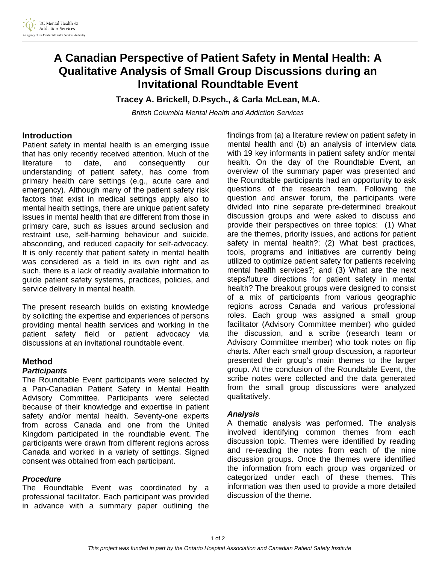# **A Canadian Perspective of Patient Safety in Mental Health: A Qualitative Analysis of Small Group Discussions during an Invitational Roundtable Event**

**Tracey A. Brickell, D.Psych., & Carla McLean, M.A.** 

*British Columbia Mental Health and Addiction Services* 

# **Introduction**

Patient safety in mental health is an emerging issue that has only recently received attention. Much of the literature to date, and consequently our understanding of patient safety, has come from primary health care settings (e.g., acute care and emergency). Although many of the patient safety risk factors that exist in medical settings apply also to mental health settings, there are unique patient safety issues in mental health that are different from those in primary care, such as issues around seclusion and restraint use, self-harming behaviour and suicide, absconding, and reduced capacity for self-advocacy. It is only recently that patient safety in mental health was considered as a field in its own right and as such, there is a lack of readily available information to guide patient safety systems, practices, policies, and service delivery in mental health.

The present research builds on existing knowledge by soliciting the expertise and experiences of persons providing mental health services and working in the patient safety field or patient advocacy via discussions at an invitational roundtable event.

## **Method**

## *Participants*

The Roundtable Event participants were selected by a Pan-Canadian Patient Safety in Mental Health Advisory Committee. Participants were selected because of their knowledge and expertise in patient safety and/or mental health. Seventy-one experts from across Canada and one from the United Kingdom participated in the roundtable event. The participants were drawn from different regions across Canada and worked in a variety of settings. Signed consent was obtained from each participant.

## *Procedure*

The Roundtable Event was coordinated by a professional facilitator. Each participant was provided in advance with a summary paper outlining the

findings from (a) a literature review on patient safety in mental health and (b) an analysis of interview data with 19 key informants in patient safety and/or mental health. On the day of the Roundtable Event, an overview of the summary paper was presented and the Roundtable participants had an opportunity to ask questions of the research team. Following the question and answer forum, the participants were divided into nine separate pre-determined breakout discussion groups and were asked to discuss and provide their perspectives on three topics: (1) What are the themes, priority issues, and actions for patient safety in mental health?; (2) What best practices, tools, programs and initiatives are currently being utilized to optimize patient safety for patients receiving mental health services?; and (3) What are the next steps/future directions for patient safety in mental health? The breakout groups were designed to consist of a mix of participants from various geographic regions across Canada and various professional roles. Each group was assigned a small group facilitator (Advisory Committee member) who guided the discussion, and a scribe (research team or Advisory Committee member) who took notes on flip charts. After each small group discussion, a raporteur presented their group's main themes to the larger group. At the conclusion of the Roundtable Event, the scribe notes were collected and the data generated from the small group discussions were analyzed qualitatively.

## *Analysis*

A thematic analysis was performed. The analysis involved identifying common themes from each discussion topic. Themes were identified by reading and re-reading the notes from each of the nine discussion groups. Once the themes were identified the information from each group was organized or categorized under each of these themes. This information was then used to provide a more detailed discussion of the theme.